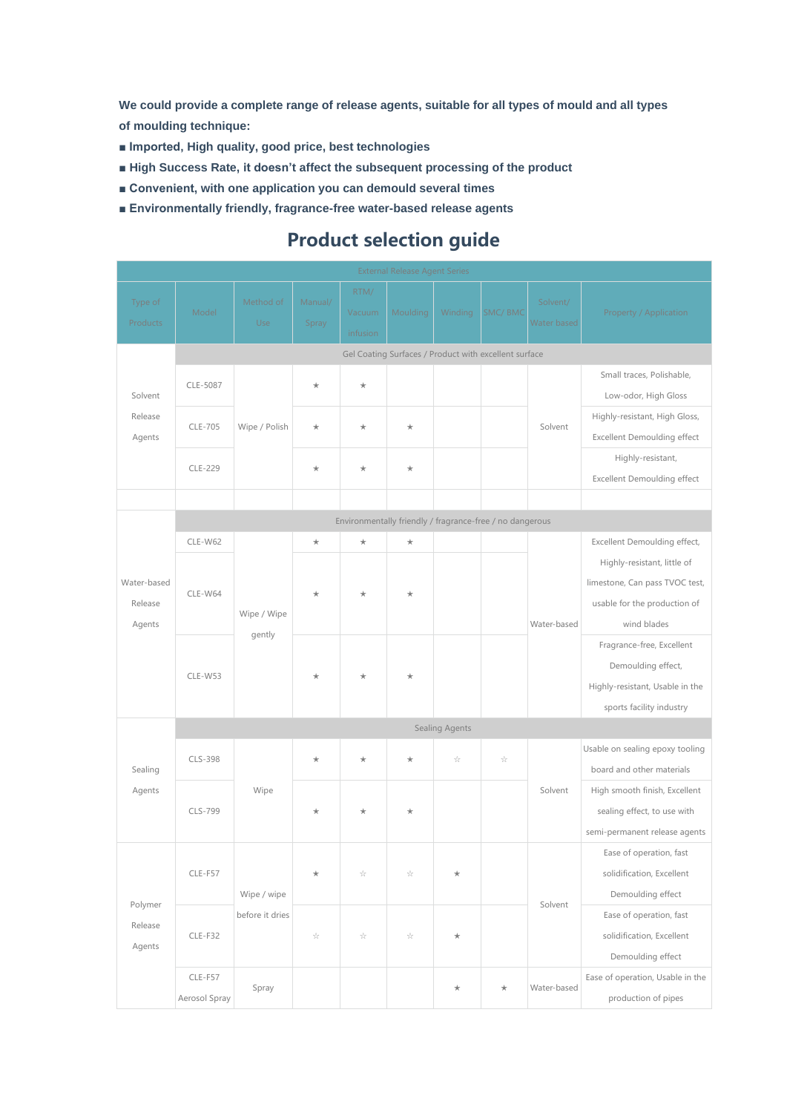**We could provide a complete range of release agents, suitable for all types of mould and all types of moulding technique:**

- **Imported, High quality, good price, best technologies**
- **High Success Rate, it doesn't affect the subsequent processing of the product**
- Convenient, with one application you can demould several times
- **Environmentally friendly, fragrance-free water-based release agents**

## **Product selection guide**

| <b>External Release Agent Series</b>                  |                          |                                                          |                          |                            |                       |            |         |                         |                                    |  |  |
|-------------------------------------------------------|--------------------------|----------------------------------------------------------|--------------------------|----------------------------|-----------------------|------------|---------|-------------------------|------------------------------------|--|--|
| Type of<br>Products                                   | Model                    | Method of<br>Use                                         | Manual/<br>Spray         | RTM/<br>Vacuum<br>infusion | Moulding              | Winding    | SMC/BMC | Solvent/<br>Water based | Property / Application             |  |  |
| Gel Coating Surfaces / Product with excellent surface |                          |                                                          |                          |                            |                       |            |         |                         |                                    |  |  |
| Solvent<br>Release<br>Agents                          | CLE-5087                 | Wipe / Polish                                            |                          | $\star$                    |                       |            |         | Solvent                 | Small traces, Polishable,          |  |  |
|                                                       |                          |                                                          | $\star$                  |                            |                       |            |         |                         | Low-odor, High Gloss               |  |  |
|                                                       | CLE-705                  |                                                          | $\star$                  | $\star$                    | $\star$               |            |         |                         | Highly-resistant, High Gloss,      |  |  |
|                                                       |                          |                                                          |                          |                            |                       |            |         |                         | <b>Excellent Demoulding effect</b> |  |  |
|                                                       |                          |                                                          | $\star$                  | $\star$                    | $\star$               |            |         |                         | Highly-resistant,                  |  |  |
|                                                       | CLE-229                  |                                                          |                          |                            |                       |            |         |                         | Excellent Demoulding effect        |  |  |
|                                                       |                          |                                                          |                          |                            |                       |            |         |                         |                                    |  |  |
|                                                       |                          | Environmentally friendly / fragrance-free / no dangerous |                          |                            |                       |            |         |                         |                                    |  |  |
| Water-based<br>Release<br>Agents                      | CLE-W62                  | Wipe / Wipe<br>gently                                    | $\star$                  | $\star$                    | $\star$               |            |         | Water-based             | Excellent Demoulding effect,       |  |  |
|                                                       | CLE-W64                  |                                                          | $\star$                  | $\star$                    | $\star$               |            |         |                         | Highly-resistant, little of        |  |  |
|                                                       |                          |                                                          |                          |                            |                       |            |         |                         | limestone, Can pass TVOC test,     |  |  |
|                                                       |                          |                                                          |                          |                            |                       |            |         |                         | usable for the production of       |  |  |
|                                                       |                          |                                                          |                          |                            |                       |            |         |                         | wind blades                        |  |  |
|                                                       | CLE-W53                  |                                                          | $^{\star}$               | $\star$                    | $\star$               |            |         |                         | Fragrance-free, Excellent          |  |  |
|                                                       |                          |                                                          |                          |                            |                       |            |         |                         | Demoulding effect,                 |  |  |
|                                                       |                          |                                                          |                          |                            |                       |            |         |                         | Highly-resistant, Usable in the    |  |  |
|                                                       |                          |                                                          |                          |                            |                       |            |         |                         | sports facility industry           |  |  |
|                                                       | Sealing Agents           |                                                          |                          |                            |                       |            |         |                         |                                    |  |  |
| Sealing<br>Agents                                     | CLS-398                  | Wipe                                                     | $\star$                  | $\star$                    | $\star$               | A          | A       | Solvent                 | Usable on sealing epoxy tooling    |  |  |
|                                                       |                          |                                                          |                          |                            |                       |            |         |                         | board and other materials          |  |  |
|                                                       | CLS-799                  |                                                          | $\star$                  | $\star$                    | $\star$               |            |         |                         | High smooth finish, Excellent      |  |  |
|                                                       |                          |                                                          |                          |                            |                       |            |         |                         | sealing effect, to use with        |  |  |
|                                                       |                          |                                                          |                          |                            |                       |            |         |                         | semi-permanent release agents      |  |  |
| Polymer<br>Release<br>Agents                          | CLE-F57                  | Wipe / wipe<br>before it dries                           | $\star$                  | ☆                          | A                     | $^{\star}$ |         | Solvent                 | Ease of operation, fast            |  |  |
|                                                       |                          |                                                          |                          |                            |                       |            |         |                         | solidification, Excellent          |  |  |
|                                                       |                          |                                                          |                          |                            |                       |            |         |                         | Demoulding effect                  |  |  |
|                                                       | $CLE-F32$                |                                                          | $\gamma_{\rm A}^{\rm A}$ | $\gamma_A^{f_{\rm c}}$     | $\frac{1}{2\sqrt{2}}$ | $^{\star}$ |         |                         | Ease of operation, fast            |  |  |
|                                                       |                          |                                                          |                          |                            |                       |            |         |                         | solidification, Excellent          |  |  |
|                                                       |                          |                                                          |                          |                            |                       |            |         |                         | Demoulding effect                  |  |  |
|                                                       | CLE-F57<br>Aerosol Spray | Spray                                                    |                          |                            |                       | $\star$    | $\star$ | Water-based             | Ease of operation, Usable in the   |  |  |
|                                                       |                          |                                                          |                          |                            |                       |            |         |                         | production of pipes                |  |  |